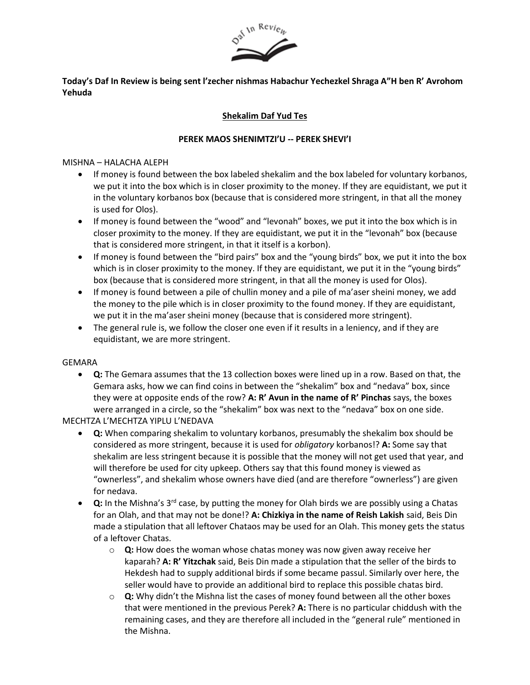

## **Today's Daf In Review is being sent l'zecher nishmas Habachur Yechezkel Shraga A"H ben R' Avrohom Yehuda**

# **Shekalim Daf Yud Tes**

### **PEREK MAOS SHENIMTZI'U -- PEREK SHEVI'I**

#### MISHNA – HALACHA ALEPH

- If money is found between the box labeled shekalim and the box labeled for voluntary korbanos, we put it into the box which is in closer proximity to the money. If they are equidistant, we put it in the voluntary korbanos box (because that is considered more stringent, in that all the money is used for Olos).
- If money is found between the "wood" and "levonah" boxes, we put it into the box which is in closer proximity to the money. If they are equidistant, we put it in the "levonah" box (because that is considered more stringent, in that it itself is a korbon).
- If money is found between the "bird pairs" box and the "young birds" box, we put it into the box which is in closer proximity to the money. If they are equidistant, we put it in the "young birds" box (because that is considered more stringent, in that all the money is used for Olos).
- If money is found between a pile of chullin money and a pile of ma'aser sheini money, we add the money to the pile which is in closer proximity to the found money. If they are equidistant, we put it in the ma'aser sheini money (because that is considered more stringent).
- The general rule is, we follow the closer one even if it results in a leniency, and if they are equidistant, we are more stringent.

#### GEMARA

• **Q:** The Gemara assumes that the 13 collection boxes were lined up in a row. Based on that, the Gemara asks, how we can find coins in between the "shekalim" box and "nedava" box, since they were at opposite ends of the row? **A: R' Avun in the name of R' Pinchas** says, the boxes were arranged in a circle, so the "shekalim" box was next to the "nedava" box on one side.

### MECHTZA L'MECHTZA YIPLU L'NEDAVA

- **Q:** When comparing shekalim to voluntary korbanos, presumably the shekalim box should be considered as more stringent, because it is used for *obligatory* korbanos!? **A:** Some say that shekalim are less stringent because it is possible that the money will not get used that year, and will therefore be used for city upkeep. Others say that this found money is viewed as "ownerless", and shekalim whose owners have died (and are therefore "ownerless") are given for nedava.
- **Q:** In the Mishna's 3rd case, by putting the money for Olah birds we are possibly using a Chatas for an Olah, and that may not be done!? **A: Chizkiya in the name of Reish Lakish** said, Beis Din made a stipulation that all leftover Chataos may be used for an Olah. This money gets the status of a leftover Chatas.
	- o **Q:** How does the woman whose chatas money was now given away receive her kaparah? **A: R' Yitzchak** said, Beis Din made a stipulation that the seller of the birds to Hekdesh had to supply additional birds if some became passul. Similarly over here, the seller would have to provide an additional bird to replace this possible chatas bird.
	- o **Q:** Why didn't the Mishna list the cases of money found between all the other boxes that were mentioned in the previous Perek? **A:** There is no particular chiddush with the remaining cases, and they are therefore all included in the "general rule" mentioned in the Mishna.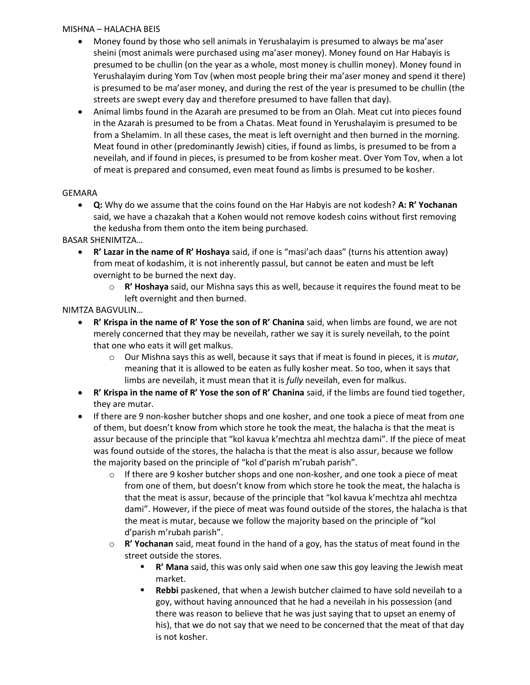#### MISHNA – HALACHA BEIS

- Money found by those who sell animals in Yerushalayim is presumed to always be ma'aser sheini (most animals were purchased using ma'aser money). Money found on Har Habayis is presumed to be chullin (on the year as a whole, most money is chullin money). Money found in Yerushalayim during Yom Tov (when most people bring their ma'aser money and spend it there) is presumed to be ma'aser money, and during the rest of the year is presumed to be chullin (the streets are swept every day and therefore presumed to have fallen that day).
- Animal limbs found in the Azarah are presumed to be from an Olah. Meat cut into pieces found in the Azarah is presumed to be from a Chatas. Meat found in Yerushalayim is presumed to be from a Shelamim. In all these cases, the meat is left overnight and then burned in the morning. Meat found in other (predominantly Jewish) cities, if found as limbs, is presumed to be from a neveilah, and if found in pieces, is presumed to be from kosher meat. Over Yom Tov, when a lot of meat is prepared and consumed, even meat found as limbs is presumed to be kosher.

## GEMARA

• **Q:** Why do we assume that the coins found on the Har Habyis are not kodesh? **A: R' Yochanan** said, we have a chazakah that a Kohen would not remove kodesh coins without first removing the kedusha from them onto the item being purchased.

BASAR SHENIMTZA…

- **R' Lazar in the name of R' Hoshaya** said, if one is "masi'ach daas" (turns his attention away) from meat of kodashim, it is not inherently passul, but cannot be eaten and must be left overnight to be burned the next day.
	- o **R' Hoshaya** said, our Mishna says this as well, because it requires the found meat to be left overnight and then burned.

NIMTZA BAGVULIN…

- **R' Krispa in the name of R' Yose the son of R' Chanina** said, when limbs are found, we are not merely concerned that they may be neveilah, rather we say it is surely neveilah, to the point that one who eats it will get malkus.
	- o Our Mishna says this as well, because it says that if meat is found in pieces, it is *mutar*, meaning that it is allowed to be eaten as fully kosher meat. So too, when it says that limbs are neveilah, it must mean that it is *fully* neveilah, even for malkus.
- **R' Krispa in the name of R' Yose the son of R' Chanina** said, if the limbs are found tied together, they are mutar.
- If there are 9 non-kosher butcher shops and one kosher, and one took a piece of meat from one of them, but doesn't know from which store he took the meat, the halacha is that the meat is assur because of the principle that "kol kavua k'mechtza ahl mechtza dami". If the piece of meat was found outside of the stores, the halacha is that the meat is also assur, because we follow the majority based on the principle of "kol d'parish m'rubah parish".
	- $\circ$  If there are 9 kosher butcher shops and one non-kosher, and one took a piece of meat from one of them, but doesn't know from which store he took the meat, the halacha is that the meat is assur, because of the principle that "kol kavua k'mechtza ahl mechtza dami". However, if the piece of meat was found outside of the stores, the halacha is that the meat is mutar, because we follow the majority based on the principle of "kol d'parish m'rubah parish".
	- o **R' Yochanan** said, meat found in the hand of a goy, has the status of meat found in the street outside the stores.
		- **R' Mana** said, this was only said when one saw this goy leaving the Jewish meat market.
		- **Rebbi** paskened, that when a Jewish butcher claimed to have sold neveilah to a goy, without having announced that he had a neveilah in his possession (and there was reason to believe that he was just saying that to upset an enemy of his), that we do not say that we need to be concerned that the meat of that day is not kosher.